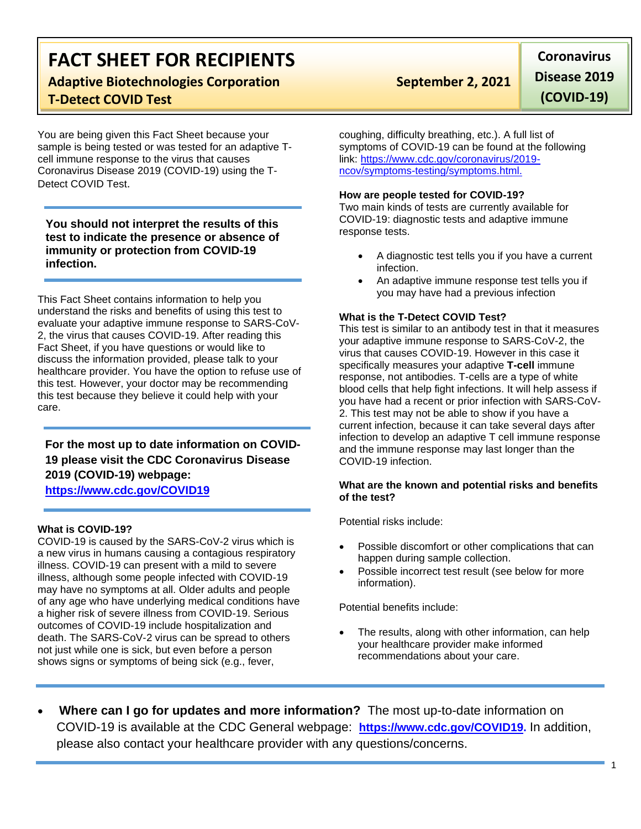# **FACT SHEET FOR RECIPIENTS**

# **Adaptive Biotechnologies Corporation September 2, 2021 T-Detect COVID Test**

You are being given this Fact Sheet because your sample is being tested or was tested for an adaptive Tcell immune response to the virus that causes Coronavirus Disease 2019 (COVID-19) using the T-Detect COVID Test.

**You should not interpret the results of this test to indicate the presence or absence of immunity or protection from COVID-19 infection.**

This Fact Sheet contains information to help you understand the risks and benefits of using this test to evaluate your adaptive immune response to SARS-CoV-2, the virus that causes COVID-19. After reading this Fact Sheet, if you have questions or would like to discuss the information provided, please talk to your healthcare provider. You have the option to refuse use of this test. However, your doctor may be recommending this test because they believe it could help with your care.

## **For the most up to date information on COVID-19 please visit the CDC Coronavirus Disease 2019 (COVID-19) webpage:**

**[https://www.cdc.gov/COVID19](https://www.cdc.gov/nCoV)**

### **What is COVID-19?**

COVID-19 is caused by the SARS-CoV-2 virus which is a new virus in humans causing a contagious respiratory illness. COVID-19 can present with a mild to severe illness, although some people infected with COVID-19 may have no symptoms at all. Older adults and people of any age who have underlying medical conditions have a higher risk of severe illness from COVID-19. Serious outcomes of COVID-19 include hospitalization and death. The SARS-CoV-2 virus can be spread to others not just while one is sick, but even before a person shows signs or symptoms of being sick (e.g., fever,

**Coronavirus Disease 2019 (COVID-19)**

coughing, difficulty breathing, etc.). A full list of symptoms of COVID-19 can be found at the following link: [https://www.cdc.gov/coronavirus/2019](https://www.cdc.gov/coronavirus/2019-ncov/symptoms-testing/symptoms.html) [ncov/symptoms-testing/symptoms.html.](https://www.cdc.gov/coronavirus/2019-ncov/symptoms-testing/symptoms.html)

#### **How are people tested for COVID-19?**

Two main kinds of tests are currently available for COVID-19: diagnostic tests and adaptive immune response tests.

- A diagnostic test tells you if you have a current infection.
- An adaptive immune response test tells you if you may have had a previous infection

### **What is the T-Detect COVID Test?**

This test is similar to an antibody test in that it measures your adaptive immune response to SARS-CoV-2, the virus that causes COVID-19. However in this case it specifically measures your adaptive **T-cell** immune response, not antibodies. T-cells are a type of white blood cells that help fight infections. It will help assess if you have had a recent or prior infection with SARS-CoV-2. This test may not be able to show if you have a current infection, because it can take several days after infection to develop an adaptive T cell immune response and the immune response may last longer than the COVID-19 infection.

#### **What are the known and potential risks and benefits of the test?**

Potential risks include:

- Possible discomfort or other complications that can happen during sample collection.
- Possible incorrect test result (see below for more information).

Potential benefits include:

- The results, along with other information, can help your healthcare provider make informed recommendations about your care.
- **Where can I go for updates and more information?** The most up-to-date information on COVID-19 is available at the CDC General webpage: **[https://www.cdc.gov/COVID19.](https://www.cdc.gov/nCoV)** In addition, please also contact your healthcare provider with any questions/concerns.